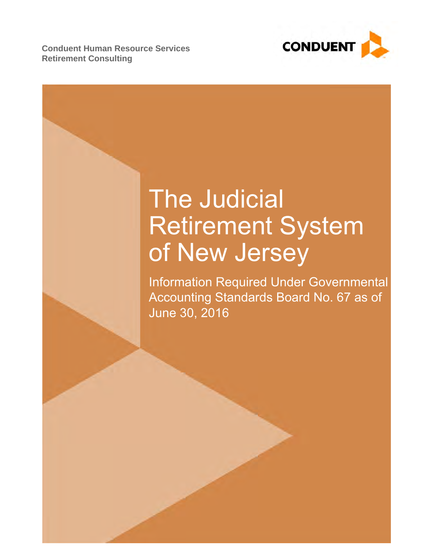**Retirement Consulting Conduent Human Resource Services** 



# The Judicial Retirement System of New Jersey

Information Required Under Governmental Accounting Standards Board No. 67 as of June 30, 2016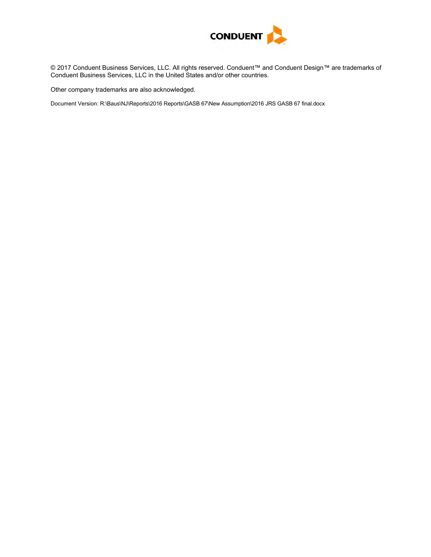

© 2017 Conduent Business Services, LLC. All rights reserved. Conduent™ and Conduent Design™ are trademarks of Conduent Business Services, LLC in the United States and/or other countries.

Other company trademarks are also acknowledged.

Document Version: R:\Baus\NJ\Reports\2016 Reports\GASB 67\New Assumption\2016 JRS GASB 67 final.docx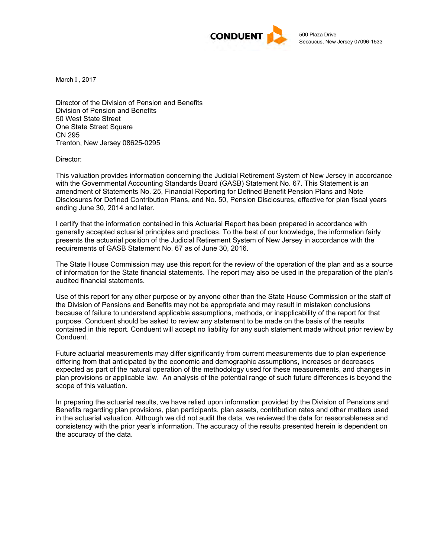

March G 2017

Director of the Division of Pension and Benefits Division of Pension and Benefits 50 West State Street One State Street Square CN 295 Trenton, New Jersey 08625-0295

Director:

This valuation provides information concerning the Judicial Retirement System of New Jersey in accordance with the Governmental Accounting Standards Board (GASB) Statement No. 67. This Statement is an amendment of Statements No. 25, Financial Reporting for Defined Benefit Pension Plans and Note Disclosures for Defined Contribution Plans, and No. 50, Pension Disclosures, effective for plan fiscal years ending June 30, 2014 and later.

I certify that the information contained in this Actuarial Report has been prepared in accordance with generally accepted actuarial principles and practices. To the best of our knowledge, the information fairly presents the actuarial position of the Judicial Retirement System of New Jersey in accordance with the requirements of GASB Statement No. 67 as of June 30, 2016.

The State House Commission may use this report for the review of the operation of the plan and as a source of information for the State financial statements. The report may also be used in the preparation of the plan's audited financial statements.

Use of this report for any other purpose or by anyone other than the State House Commission or the staff of the Division of Pensions and Benefits may not be appropriate and may result in mistaken conclusions because of failure to understand applicable assumptions, methods, or inapplicability of the report for that purpose. Conduent should be asked to review any statement to be made on the basis of the results contained in this report. Conduent will accept no liability for any such statement made without prior review by Conduent.

Future actuarial measurements may differ significantly from current measurements due to plan experience differing from that anticipated by the economic and demographic assumptions, increases or decreases expected as part of the natural operation of the methodology used for these measurements, and changes in plan provisions or applicable law. An analysis of the potential range of such future differences is beyond the scope of this valuation.

In preparing the actuarial results, we have relied upon information provided by the Division of Pensions and Benefits regarding plan provisions, plan participants, plan assets, contribution rates and other matters used in the actuarial valuation. Although we did not audit the data, we reviewed the data for reasonableness and consistency with the prior year's information. The accuracy of the results presented herein is dependent on the accuracy of the data.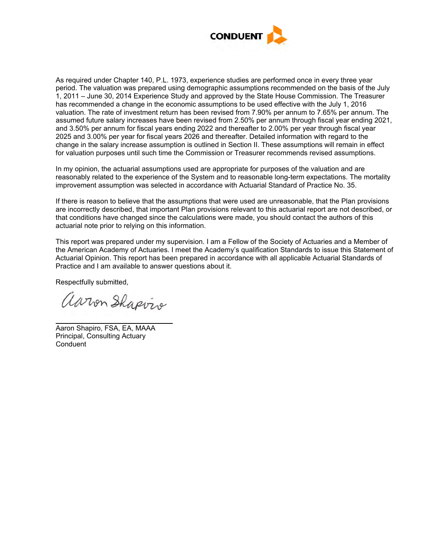

As required under Chapter 140, P.L. 1973, experience studies are performed once in every three year period. The valuation was prepared using demographic assumptions recommended on the basis of the July 1, 2011 – June 30, 2014 Experience Study and approved by the State House Commission. The Treasurer has recommended a change in the economic assumptions to be used effective with the July 1, 2016 valuation. The rate of investment return has been revised from 7.90% per annum to 7.65% per annum. The assumed future salary increases have been revised from 2.50% per annum through fiscal year ending 2021, and 3.50% per annum for fiscal years ending 2022 and thereafter to 2.00% per year through fiscal year 2025 and 3.00% per year for fiscal years 2026 and thereafter. Detailed information with regard to the change in the salary increase assumption is outlined in Section II. These assumptions will remain in effect for valuation purposes until such time the Commission or Treasurer recommends revised assumptions.

In my opinion, the actuarial assumptions used are appropriate for purposes of the valuation and are reasonably related to the experience of the System and to reasonable long-term expectations. The mortality improvement assumption was selected in accordance with Actuarial Standard of Practice No. 35.

If there is reason to believe that the assumptions that were used are unreasonable, that the Plan provisions are incorrectly described, that important Plan provisions relevant to this actuarial report are not described, or that conditions have changed since the calculations were made, you should contact the authors of this actuarial note prior to relying on this information.

This report was prepared under my supervision. I am a Fellow of the Society of Actuaries and a Member of the American Academy of Actuaries. I meet the Academy's qualification Standards to issue this Statement of Actuarial Opinion. This report has been prepared in accordance with all applicable Actuarial Standards of Practice and I am available to answer questions about it.

Respectfully submitted,

aaron Shapvis

 $\overline{a}$ Aaron Shapiro, FSA, EA, MAAA Principal, Consulting Actuary Conduent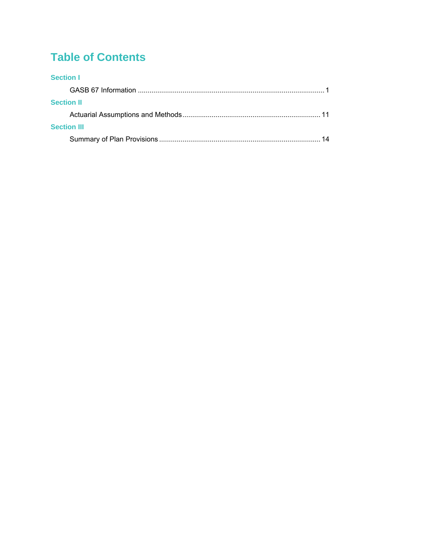# **Table of Contents**

#### **Section I**

| <b>Section II</b>  |  |
|--------------------|--|
|                    |  |
| <b>Section III</b> |  |
|                    |  |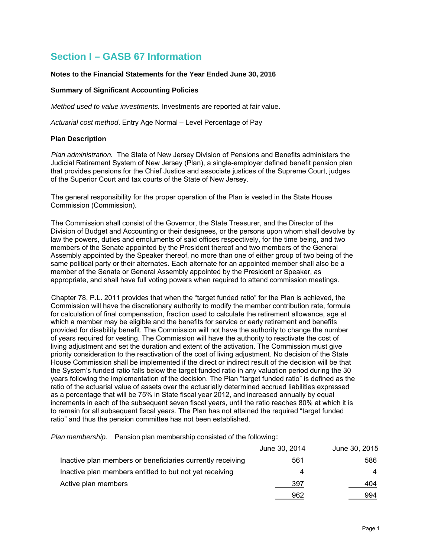## **Section I – GASB 67 Information**

#### **Notes to the Financial Statements for the Year Ended June 30, 2016**

#### **Summary of Significant Accounting Policies**

*Method used to value investments.* Investments are reported at fair value.

*Actuarial cost method*. Entry Age Normal – Level Percentage of Pay

#### **Plan Description**

*Plan administration.* The State of New Jersey Division of Pensions and Benefits administers the Judicial Retirement System of New Jersey (Plan), a single-employer defined benefit pension plan that provides pensions for the Chief Justice and associate justices of the Supreme Court, judges of the Superior Court and tax courts of the State of New Jersey.

The general responsibility for the proper operation of the Plan is vested in the State House Commission (Commission).

The Commission shall consist of the Governor, the State Treasurer, and the Director of the Division of Budget and Accounting or their designees, or the persons upon whom shall devolve by law the powers, duties and emoluments of said offices respectively, for the time being, and two members of the Senate appointed by the President thereof and two members of the General Assembly appointed by the Speaker thereof, no more than one of either group of two being of the same political party or their alternates. Each alternate for an appointed member shall also be a member of the Senate or General Assembly appointed by the President or Speaker, as appropriate, and shall have full voting powers when required to attend commission meetings.

Chapter 78, P.L. 2011 provides that when the "target funded ratio" for the Plan is achieved, the Commission will have the discretionary authority to modify the member contribution rate, formula for calculation of final compensation, fraction used to calculate the retirement allowance, age at which a member may be eligible and the benefits for service or early retirement and benefits provided for disability benefit. The Commission will not have the authority to change the number of years required for vesting. The Commission will have the authority to reactivate the cost of living adjustment and set the duration and extent of the activation. The Commission must give priority consideration to the reactivation of the cost of living adjustment. No decision of the State House Commission shall be implemented if the direct or indirect result of the decision will be that the System's funded ratio falls below the target funded ratio in any valuation period during the 30 years following the implementation of the decision. The Plan "target funded ratio" is defined as the ratio of the actuarial value of assets over the actuarially determined accrued liabilities expressed as a percentage that will be 75% in State fiscal year 2012, and increased annually by equal increments in each of the subsequent seven fiscal years, until the ratio reaches 80% at which it is to remain for all subsequent fiscal years. The Plan has not attained the required "target funded ratio" and thus the pension committee has not been established.

*Plan membership.* Pension plan membership consisted of the following:

|                                                            | June 30, 2014 | June 30, 2015 |
|------------------------------------------------------------|---------------|---------------|
| Inactive plan members or beneficiaries currently receiving | 561           | 586           |
| Inactive plan members entitled to but not yet receiving    | 4             |               |
| Active plan members                                        | 397           | 404           |
|                                                            | 962           | 994           |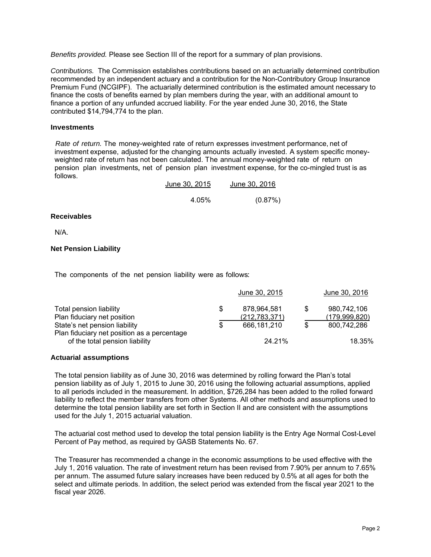*Benefits provided.* Please see Section III of the report for a summary of plan provisions.

*Contributions.* The Commission establishes contributions based on an actuarially determined contribution recommended by an independent actuary and a contribution for the Non-Contributory Group Insurance Premium Fund (NCGIPF). The actuarially determined contribution is the estimated amount necessary to finance the costs of benefits earned by plan members during the year, with an additional amount to finance a portion of any unfunded accrued liability. For the year ended June 30, 2016, the State contributed \$14,794,774 to the plan.

#### **Investments**

*Rate of return.* The money-weighted rate of return expresses investment performance, net of investment expense, adjusted for the changing amounts actually invested. A system specific moneyweighted rate of return has not been calculated. The annual money-weighted rate of return on pension plan investments, net of pension plan investment expense, for the co-mingled trust is as follows.

| June 30, 2015 | June 30, 2016 |
|---------------|---------------|
| 4.05%         | (0.87%)       |

#### **Receivables**

N/A.

#### **Net Pension Liability**

The components of the net pension liability were as follows:

|                                                                              | June 30, 2015                |     | June 30, 2016                |
|------------------------------------------------------------------------------|------------------------------|-----|------------------------------|
| Total pension liability<br>Plan fiduciary net position                       | 878.964.581<br>(212,783,371) | \$. | 980,742,106<br>(179,999,820) |
| State's net pension liability<br>Plan fiduciary net position as a percentage | 666.181.210                  | \$  | 800.742.286                  |
| of the total pension liability                                               | 24.21%                       |     | 18.35%                       |

#### **Actuarial assumptions**

The total pension liability as of June 30, 2016 was determined by rolling forward the Plan's total pension liability as of July 1, 2015 to June 30, 2016 using the following actuarial assumptions, applied to all periods included in the measurement. In addition, \$726,284 has been added to the rolled forward liability to reflect the member transfers from other Systems. All other methods and assumptions used to determine the total pension liability are set forth in Section II and are consistent with the assumptions used for the July 1, 2015 actuarial valuation.

The actuarial cost method used to develop the total pension liability is the Entry Age Normal Cost-Level Percent of Pay method, as required by GASB Statements No. 67.

The Treasurer has recommended a change in the economic assumptions to be used effective with the July 1, 2016 valuation. The rate of investment return has been revised from 7.90% per annum to 7.65% per annum. The assumed future salary increases have been reduced by 0.5% at all ages for both the select and ultimate periods. In addition, the select period was extended from the fiscal year 2021 to the fiscal year 2026.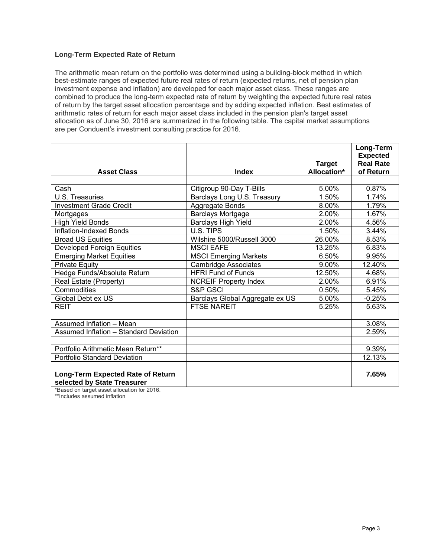#### **Long-Term Expected Rate of Return**

The arithmetic mean return on the portfolio was determined using a building-block method in which best-estimate ranges of expected future real rates of return (expected returns, net of pension plan investment expense and inflation) are developed for each major asset class. These ranges are combined to produce the long-term expected rate of return by weighting the expected future real rates of return by the target asset allocation percentage and by adding expected inflation. Best estimates of arithmetic rates of return for each major asset class included in the pension plan's target asset allocation as of June 30, 2016 are summarized in the following table. The capital market assumptions are per Conduent's investment consulting practice for 2016.

|                                                                  |                                 | <b>Target</b> | Long-Term<br><b>Expected</b><br><b>Real Rate</b> |
|------------------------------------------------------------------|---------------------------------|---------------|--------------------------------------------------|
| <b>Asset Class</b>                                               | <b>Index</b>                    | Allocation*   | of Return                                        |
|                                                                  |                                 |               |                                                  |
| Cash                                                             | Citigroup 90-Day T-Bills        | 5.00%         | 0.87%                                            |
| U.S. Treasuries                                                  | Barclays Long U.S. Treasury     | 1.50%         | 1.74%                                            |
| <b>Investment Grade Credit</b>                                   | Aggregate Bonds                 | 8.00%         | 1.79%                                            |
| Mortgages                                                        | <b>Barclays Mortgage</b>        | 2.00%         | 1.67%                                            |
| <b>High Yield Bonds</b>                                          | <b>Barclays High Yield</b>      | 2.00%         | 4.56%                                            |
| Inflation-Indexed Bonds                                          | U.S. TIPS                       | 1.50%         | 3.44%                                            |
| <b>Broad US Equities</b>                                         | Wilshire 5000/Russell 3000      | 26.00%        | 8.53%                                            |
| <b>Developed Foreign Equities</b>                                | <b>MSCI EAFE</b>                | 13.25%        | 6.83%                                            |
| <b>Emerging Market Equities</b>                                  | <b>MSCI Emerging Markets</b>    | 6.50%         | 9.95%                                            |
| <b>Private Equity</b>                                            | <b>Cambridge Associates</b>     | 9.00%         | 12.40%                                           |
| Hedge Funds/Absolute Return                                      | <b>HFRI Fund of Funds</b>       | 12.50%        | 4.68%                                            |
| Real Estate (Property)                                           | <b>NCREIF Property Index</b>    | 2.00%         | 6.91%                                            |
| Commodities                                                      | S&P GSCI                        | 0.50%         | 5.45%                                            |
| Global Debt ex US                                                | Barclays Global Aggregate ex US | 5.00%         | $-0.25%$                                         |
| <b>REIT</b>                                                      | <b>FTSE NAREIT</b>              | 5.25%         | 5.63%                                            |
|                                                                  |                                 |               |                                                  |
| Assumed Inflation - Mean                                         |                                 |               | 3.08%                                            |
| Assumed Inflation - Standard Deviation                           |                                 |               | 2.59%                                            |
|                                                                  |                                 |               |                                                  |
| Portfolio Arithmetic Mean Return**                               |                                 |               | 9.39%                                            |
| Portfolio Standard Deviation                                     |                                 |               | 12.13%                                           |
|                                                                  |                                 |               |                                                  |
| Long-Term Expected Rate of Return<br>selected by State Treasurer |                                 |               | 7.65%                                            |

\*Based on target asset allocation for 2016.

\*\*Includes assumed inflation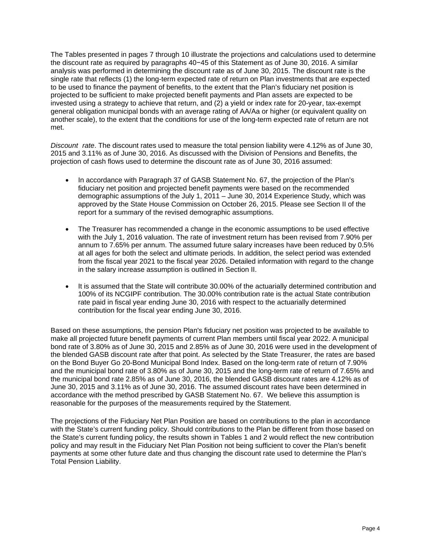The Tables presented in pages 7 through 10 illustrate the projections and calculations used to determine the discount rate as required by paragraphs 40−45 of this Statement as of June 30, 2016. A similar analysis was performed in determining the discount rate as of June 30, 2015. The discount rate is the single rate that reflects (1) the long-term expected rate of return on Plan investments that are expected to be used to finance the payment of benefits, to the extent that the Plan's fiduciary net position is projected to be sufficient to make projected benefit payments and Plan assets are expected to be invested using a strategy to achieve that return, and (2) a yield or index rate for 20-year, tax-exempt general obligation municipal bonds with an average rating of AA/Aa or higher (or equivalent quality on another scale), to the extent that the conditions for use of the long-term expected rate of return are not met.

*Discount rate*. The discount rates used to measure the total pension liability were 4.12% as of June 30, 2015 and 3.11% as of June 30, 2016. As discussed with the Division of Pensions and Benefits, the projection of cash flows used to determine the discount rate as of June 30, 2016 assumed:

- In accordance with Paragraph 37 of GASB Statement No. 67, the projection of the Plan's fiduciary net position and projected benefit payments were based on the recommended demographic assumptions of the July 1, 2011 – June 30, 2014 Experience Study, which was approved by the State House Commission on October 26, 2015. Please see Section II of the report for a summary of the revised demographic assumptions.
- The Treasurer has recommended a change in the economic assumptions to be used effective with the July 1, 2016 valuation. The rate of investment return has been revised from 7.90% per annum to 7.65% per annum. The assumed future salary increases have been reduced by 0.5% at all ages for both the select and ultimate periods. In addition, the select period was extended from the fiscal year 2021 to the fiscal year 2026. Detailed information with regard to the change in the salary increase assumption is outlined in Section II.
- It is assumed that the State will contribute 30,00% of the actuarially determined contribution and 100% of its NCGIPF contribution. The 30.00% contribution rate is the actual State contribution rate paid in fiscal year ending June 30, 2016 with respect to the actuarially determined contribution for the fiscal year ending June 30, 2016.

Based on these assumptions, the pension Plan's fiduciary net position was projected to be available to make all projected future benefit payments of current Plan members until fiscal year 2022. A municipal bond rate of 3.80% as of June 30, 2015 and 2.85% as of June 30, 2016 were used in the development of the blended GASB discount rate after that point. As selected by the State Treasurer, the rates are based on the Bond Buyer Go 20-Bond Municipal Bond Index. Based on the long-term rate of return of 7.90% and the municipal bond rate of 3.80% as of June 30, 2015 and the long-term rate of return of 7.65% and the municipal bond rate 2.85% as of June 30, 2016, the blended GASB discount rates are 4.12% as of June 30, 2015 and 3.11% as of June 30, 2016. The assumed discount rates have been determined in accordance with the method prescribed by GASB Statement No. 67. We believe this assumption is reasonable for the purposes of the measurements required by the Statement.

The projections of the Fiduciary Net Plan Position are based on contributions to the plan in accordance with the State's current funding policy. Should contributions to the Plan be different from those based on the State's current funding policy, the results shown in Tables 1 and 2 would reflect the new contribution policy and may result in the Fiduciary Net Plan Position not being sufficient to cover the Plan's benefit payments at some other future date and thus changing the discount rate used to determine the Plan's Total Pension Liability.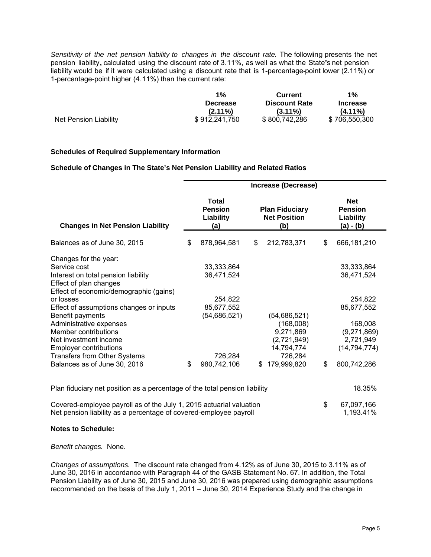Sensitivity of the net pension liability to changes in the discount rate. The following presents the net pension liability, calculated using the discount rate of 3.11%, as well as what the State's net pension liability would be if it were calculated using a discount rate that is 1-percentage-point lower (2.11%) or 1-percentage-point higher (4.11%) than the current rate:

|                       | 1%              | <b>Current</b>       | $1\%$           |
|-----------------------|-----------------|----------------------|-----------------|
|                       | <b>Decrease</b> | <b>Discount Rate</b> | <b>Increase</b> |
|                       | $(2.11\%)$      | $(3.11\%)$           | $(4.11\%)$      |
| Net Pension Liability | \$912,241,750   | \$800,742,286        | \$706,550,300   |

#### **Schedules of Required Supplementary Information**

#### **Schedule of Changes in The State's Net Pension Liability and Related Ratios**

|                                                                                                         |                                                                                                           |    | Increase (Decrease) |    |                                                          |  |  |
|---------------------------------------------------------------------------------------------------------|-----------------------------------------------------------------------------------------------------------|----|---------------------|----|----------------------------------------------------------|--|--|
| <b>Changes in Net Pension Liability</b>                                                                 | <b>Total</b><br><b>Pension</b><br><b>Plan Fiduciary</b><br><b>Net Position</b><br>Liability<br>(a)<br>(b) |    |                     |    | <b>Net</b><br><b>Pension</b><br>Liability<br>$(a) - (b)$ |  |  |
| Balances as of June 30, 2015                                                                            | \$<br>878,964,581                                                                                         | \$ | 212,783,371         | \$ | 666,181,210                                              |  |  |
| Changes for the year:                                                                                   |                                                                                                           |    |                     |    |                                                          |  |  |
| Service cost                                                                                            | 33,333,864                                                                                                |    |                     |    | 33, 333, 864                                             |  |  |
| Interest on total pension liability<br>Effect of plan changes<br>Effect of economic/demographic (gains) | 36,471,524                                                                                                |    |                     |    | 36,471,524                                               |  |  |
| or losses                                                                                               | 254,822                                                                                                   |    |                     |    | 254,822                                                  |  |  |
| Effect of assumptions changes or inputs                                                                 | 85,677,552                                                                                                |    |                     |    | 85,677,552                                               |  |  |
| Benefit payments                                                                                        | (54, 686, 521)                                                                                            |    | (54, 686, 521)      |    |                                                          |  |  |
| Administrative expenses                                                                                 |                                                                                                           |    | (168,008)           |    | 168,008                                                  |  |  |
| Member contributions                                                                                    |                                                                                                           |    | 9,271,869           |    | (9,271,869)                                              |  |  |
| Net investment income                                                                                   |                                                                                                           |    | (2,721,949)         |    | 2,721,949                                                |  |  |
| <b>Employer contributions</b>                                                                           |                                                                                                           |    | 14,794,774          |    | (14, 794, 774)                                           |  |  |
| Transfers from Other Systems                                                                            | 726,284                                                                                                   |    | 726,284             |    |                                                          |  |  |
| Balances as of June 30, 2016                                                                            | \$<br>980,742,106                                                                                         | \$ | 179,999,820         | \$ | 800,742,286                                              |  |  |
| Plan fiduciary net position as a percentage of the total pension liability                              |                                                                                                           |    |                     |    | 18.35%                                                   |  |  |
| Covered-employee payroll as of the July 1, 2015 actuarial valuation                                     |                                                                                                           |    |                     | \$ | 67,097,166                                               |  |  |

Net pension liability as a percentage of covered-employee payroll 1,193.41%

#### **Notes to Schedule:**

#### *Benefit changes.* None.

*Changes of assumptions.* The discount rate changed from 4.12% as of June 30, 2015 to 3.11% as of June 30, 2016 in accordance with Paragraph 44 of the GASB Statement No. 67. In addition, the Total Pension Liability as of June 30, 2015 and June 30, 2016 was prepared using demographic assumptions recommended on the basis of the July 1, 2011 – June 30, 2014 Experience Study and the change in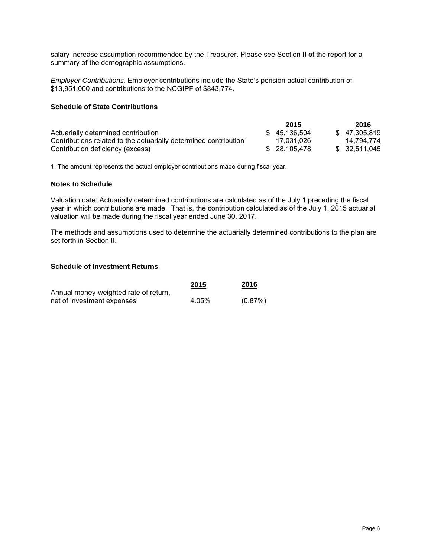salary increase assumption recommended by the Treasurer. Please see Section II of the report for a summary of the demographic assumptions.

*Employer Contributions.* Employer contributions include the State's pension actual contribution of \$13,951,000 and contributions to the NCGIPF of \$843,774.

#### **Schedule of State Contributions**

|                                                                               | 2015          | 2016          |
|-------------------------------------------------------------------------------|---------------|---------------|
| Actuarially determined contribution                                           | \$45.136.504  | \$47,305,819  |
| Contributions related to the actuarially determined contribution <sup>1</sup> | 17.031.026    | 14.794.774    |
| Contribution deficiency (excess)                                              | \$ 28.105.478 | \$ 32,511,045 |

1. The amount represents the actual employer contributions made during fiscal year.

#### **Notes to Schedule**

Valuation date: Actuarially determined contributions are calculated as of the July 1 preceding the fiscal year in which contributions are made. That is, the contribution calculated as of the July 1, 2015 actuarial valuation will be made during the fiscal year ended June 30, 2017.

The methods and assumptions used to determine the actuarially determined contributions to the plan are set forth in Section II.

#### **Schedule of Investment Returns**

|                                       | 2015  | 2016    |
|---------------------------------------|-------|---------|
| Annual money-weighted rate of return, |       |         |
| net of investment expenses            | 4.05% | (0.87%) |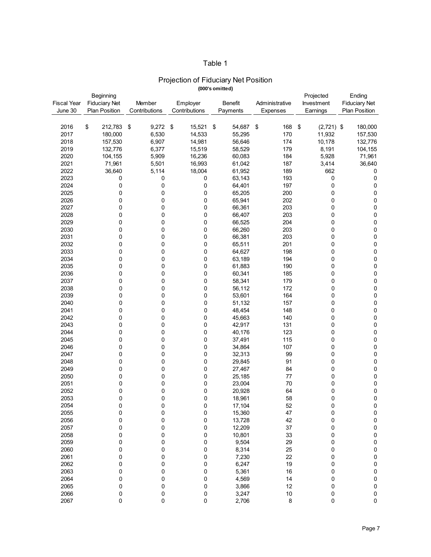#### Table 1

#### Projection of Fiduciary Net Position **(000's omitted)**

|                    | Beginning            |               |                 |                |                | Projected          | Ending               |  |  |
|--------------------|----------------------|---------------|-----------------|----------------|----------------|--------------------|----------------------|--|--|
| <b>Fiscal Year</b> | <b>Fiduciary Net</b> | Member        | Employer        | <b>Benefit</b> | Administrative | Investment         | <b>Fiduciary Net</b> |  |  |
| June 30            | <b>Plan Position</b> | Contributions | Contributions   | Payments       | Expenses       | Earnings           | Plan Position        |  |  |
|                    |                      |               |                 |                |                |                    |                      |  |  |
| 2016               | \$<br>212,783        | \$<br>9,272   | \$<br>15,521 \$ | 54,687         | \$<br>168      | \$<br>$(2,721)$ \$ | 180,000              |  |  |
| 2017               | 180,000              | 6,530         | 14,533          | 55,295         | 170            | 11,932             | 157,530              |  |  |
| 2018               | 157,530              | 6,907         | 14,981          | 56,646         | 174            | 10,178             | 132,776              |  |  |
| 2019               |                      |               |                 |                | 179            |                    |                      |  |  |
|                    | 132,776              | 6,377         | 15,519          | 58,529         |                | 8,191              | 104,155              |  |  |
| 2020               | 104,155              | 5,909         | 16,236          | 60,083         | 184            | 5,928              | 71,961               |  |  |
| 2021               | 71,961               | 5,501         | 16,993          | 61,042         | 187            | 3,414              | 36,640               |  |  |
| 2022               | 36,640               | 5,114         | 18,004          | 61,952         | 189            | 662                | 0                    |  |  |
| 2023               | 0                    | 0             | 0               | 63,143         | 193            | 0                  | $\pmb{0}$            |  |  |
| 2024               | 0                    | 0             | 0               | 64,401         | 197            | 0                  | $\pmb{0}$            |  |  |
| 2025               | 0                    | 0             | 0               | 65,205         | 200            | 0                  | $\pmb{0}$            |  |  |
| 2026               | 0                    | 0             | 0               | 65,941         | 202            | 0                  | $\pmb{0}$            |  |  |
| 2027               | 0                    | 0             | 0               | 66,361         | 203            | 0                  | $\pmb{0}$            |  |  |
| 2028               | 0                    | 0             | 0               | 66,407         | 203            | 0                  | $\pmb{0}$            |  |  |
| 2029               | 0                    | 0             | 0               | 66,525         | 204            | 0                  | $\pmb{0}$            |  |  |
| 2030               | 0                    | 0             | 0               | 66,260         | 203            | 0                  | $\pmb{0}$            |  |  |
| 2031               | 0                    | 0             | 0               | 66,381         | 203            | 0                  | $\pmb{0}$            |  |  |
| 2032               | 0                    | 0             | 0               | 65,511         | 201            | 0                  | $\pmb{0}$            |  |  |
| 2033               | 0                    | 0             | 0               | 64,627         | 198            | 0                  | $\mathsf 0$          |  |  |
| 2034               | 0                    | 0             | 0               | 63,189         | 194            | 0                  | $\mathbf 0$          |  |  |
| 2035               | 0                    | 0             | 0               | 61,883         | 190            | 0                  | $\mathbf 0$          |  |  |
| 2036               | 0                    | 0             | 0               | 60,341         | 185            | 0                  | $\mathbf 0$          |  |  |
| 2037               | 0                    | 0             | 0               | 58,341         | 179            | 0                  | $\mathsf 0$          |  |  |
| 2038               | 0                    | 0             | 0               | 56,112         | 172            | 0                  | $\mathbf 0$          |  |  |
| 2039               | 0                    | 0             | 0               | 53,601         | 164            | 0                  | $\pmb{0}$            |  |  |
| 2040               | 0                    | 0             |                 | 51,132         | 157            |                    | $\pmb{0}$            |  |  |
|                    |                      |               | 0               |                |                | 0                  |                      |  |  |
| 2041               | 0                    | 0             | 0               | 48,454         | 148            | 0                  | 0                    |  |  |
| 2042               | 0                    | 0             | 0               | 45,663         | 140            | 0                  | $\pmb{0}$            |  |  |
| 2043               | 0                    | 0             | 0               | 42,917         | 131            | 0                  | $\pmb{0}$            |  |  |
| 2044               | 0                    | 0             | 0               | 40,176         | 123            | 0                  | $\pmb{0}$            |  |  |
| 2045               | 0                    | 0             | 0               | 37,491         | 115            | 0                  | $\pmb{0}$            |  |  |
| 2046               | 0                    | 0             | 0               | 34,864         | 107            | 0                  | $\pmb{0}$            |  |  |
| 2047               | 0                    | 0             | 0               | 32,313         | 99             | 0                  | $\pmb{0}$            |  |  |
| 2048               | 0                    | 0             | 0               | 29,845         | 91             | 0                  | $\pmb{0}$            |  |  |
| 2049               | 0                    | 0             | 0               | 27,467         | 84             | 0                  | $\pmb{0}$            |  |  |
| 2050               | 0                    | 0             | 0               | 25,185         | 77             | 0                  | $\pmb{0}$            |  |  |
| 2051               | 0                    | 0             | 0               | 23,004         | 70             | 0                  | $\pmb{0}$            |  |  |
| 2052               | 0                    | 0             | 0               | 20,928         | 64             | 0                  | $\mathbf 0$          |  |  |
| 2053               | 0                    | 0             | 0               | 18,961         | 58             | 0                  | $\mathbf 0$          |  |  |
| 2054               | 0                    | 0             | 0               | 17,104         | 52             | 0                  | 0                    |  |  |
| 2055               | 0                    | 0             | 0               | 15,360         | 47             | 0                  | 0                    |  |  |
| 2056               | 0                    | 0             | 0               | 13,728         | 42             | 0                  | 0                    |  |  |
| 2057               | 0                    | 0             | 0               | 12,209         | 37             | 0                  | $\pmb{0}$            |  |  |
| 2058               | 0                    | 0             | 0               | 10,801         | 33             | 0                  | $\pmb{0}$            |  |  |
| 2059               | 0                    | 0             | 0               | 9,504          | 29             | 0                  | $\pmb{0}$            |  |  |
| 2060               | 0                    | 0             | 0               | 8,314          | 25             | 0                  | $\pmb{0}$            |  |  |
| 2061               | 0                    | 0             | 0               | 7,230          | 22             | 0                  | $\pmb{0}$            |  |  |
| 2062               | 0                    | 0             | 0               | 6,247          | 19             | 0                  | $\pmb{0}$            |  |  |
| 2063               | 0                    | 0             | 0               | 5,361          | 16             | 0                  | $\pmb{0}$            |  |  |
| 2064               | 0                    | 0             | 0               | 4,569          | 14             | 0                  | $\mathsf{O}\xspace$  |  |  |
| 2065               | 0                    | 0             |                 | 3,866          | 12             |                    | $\mathsf{O}\xspace$  |  |  |
|                    |                      |               | 0               |                |                | 0                  |                      |  |  |
| 2066               | 0                    | 0             | 0               | 3,247          | 10             | 0                  | $\pmb{0}$            |  |  |
| 2067               | 0                    | 0             | 0               | 2,706          | 8              | 0                  | $\pmb{0}$            |  |  |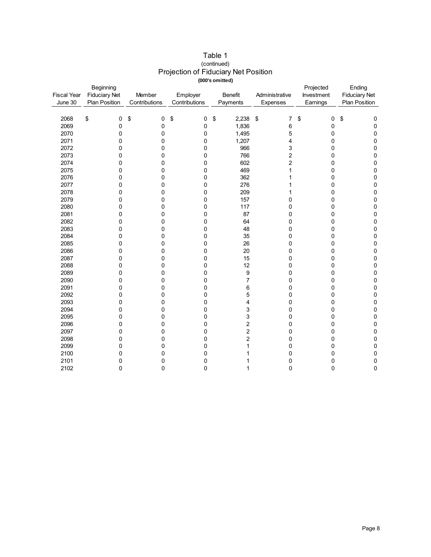|                               |                                                    |                         |                           | (000's omitted)            |                            |                                     |                                                 |
|-------------------------------|----------------------------------------------------|-------------------------|---------------------------|----------------------------|----------------------------|-------------------------------------|-------------------------------------------------|
| <b>Fiscal Year</b><br>June 30 | Beginning<br><b>Fiduciary Net</b><br>Plan Position | Member<br>Contributions | Employer<br>Contributions | <b>Benefit</b><br>Payments | Administrative<br>Expenses | Projected<br>Investment<br>Earnings | Ending<br><b>Fiduciary Net</b><br>Plan Position |
| 2068                          | \$<br>0                                            | \$<br>0                 | \$<br>0                   | \$<br>$2,238$ \$           | 7                          | \$<br>0                             | \$<br>0                                         |
| 2069                          | 0                                                  | 0                       | 0                         | 1,836                      | 6                          | 0                                   | $\mathbf 0$                                     |
| 2070                          | 0                                                  | 0                       | 0                         | 1,495                      | 5                          | 0                                   | $\mathsf 0$                                     |
| 2071                          | 0                                                  | 0                       | 0                         | 1,207                      | 4                          | 0                                   | $\pmb{0}$                                       |
| 2072                          | 0                                                  | 0                       | 0                         | 966                        | 3                          | 0                                   | $\pmb{0}$                                       |
| 2073                          | 0                                                  | 0                       | 0                         | 766                        | $\overline{c}$             | 0                                   | 0                                               |
| 2074                          | 0                                                  | 0                       | 0                         | 602                        | $\overline{c}$             | 0                                   | 0                                               |
| 2075                          | 0                                                  | 0                       | 0                         | 469                        | 1                          | 0                                   | 0                                               |
| 2076                          | 0                                                  | 0                       | 0                         | 362                        | 1                          | 0                                   | $\mathbf 0$                                     |
| 2077                          | 0                                                  | 0                       | 0                         | 276                        |                            | 0                                   | $\mathsf 0$                                     |
| 2078                          | 0                                                  | 0                       | 0                         | 209                        |                            | 0                                   | $\pmb{0}$                                       |
| 2079                          | 0                                                  | 0                       | 0                         | 157                        | 0                          | 0                                   | $\pmb{0}$                                       |
| 2080                          | 0                                                  | 0                       | 0                         | 117                        | 0                          | 0                                   | $\pmb{0}$                                       |
| 2081                          | 0                                                  | 0                       | 0                         | 87                         | $\Omega$                   | 0                                   | $\pmb{0}$                                       |
| 2082                          | 0                                                  | 0                       | 0                         | 64                         | $\Omega$                   | 0                                   | $\mathbf 0$                                     |
| 2083                          | 0                                                  | 0                       | 0                         | 48                         | 0                          | 0                                   | $\pmb{0}$                                       |
| 2084                          | 0                                                  | 0                       | 0                         | 35                         | $\mathbf{0}$               | 0                                   | $\mathsf 0$                                     |
| 2085                          | 0                                                  | 0                       | 0                         | 26                         | 0                          | 0                                   | $\mathsf 0$                                     |
| 2086                          | 0                                                  | 0                       | 0                         | 20                         | $\mathbf 0$                | 0                                   | $\pmb{0}$                                       |
| 2087                          | 0                                                  | 0                       | 0                         | 15                         | 0                          | 0                                   | $\pmb{0}$                                       |
| 2088<br>2089                  | 0<br>0                                             | 0<br>0                  | 0                         | 12                         | 0<br>$\mathbf 0$           | 0                                   | 0                                               |
| 2090                          | 0                                                  | 0                       | 0<br>0                    | 9<br>7                     | $\mathbf 0$                | 0<br>0                              | 0<br>0                                          |
| 2091                          | 0                                                  | 0                       | 0                         | 6                          | $\Omega$                   | 0                                   | 0                                               |
| 2092                          | 0                                                  | 0                       | 0                         | 5                          | $\mathbf 0$                | 0                                   | 0                                               |
| 2093                          | 0                                                  | 0                       | 0                         | 4                          | 0                          | 0                                   | $\pmb{0}$                                       |
| 2094                          | 0                                                  | 0                       | 0                         | 3                          | 0                          | 0                                   | $\pmb{0}$                                       |
| 2095                          | 0                                                  | 0                       | 0                         | 3                          | 0                          | 0                                   | 0                                               |
| 2096                          | 0                                                  | 0                       | 0                         | $\overline{\mathbf{c}}$    | $\mathbf 0$                | 0                                   | 0                                               |
| 2097                          | 0                                                  | 0                       | 0                         | $\overline{2}$             | 0                          | 0                                   | 0                                               |
| 2098                          | 0                                                  | 0                       | 0                         | $\overline{c}$             | $\mathbf 0$                | 0                                   | 0                                               |
| 2099                          | 0                                                  | 0                       | 0                         |                            | 0                          | 0                                   | 0                                               |
| 2100                          | 0                                                  | 0                       | 0                         |                            | $\Omega$                   | 0                                   | 0                                               |
| 2101                          | 0                                                  | 0                       | 0                         |                            | 0                          | 0                                   | $\mathbf 0$                                     |
| 2102                          | $\mathbf 0$                                        | 0                       | 0                         |                            | $\Omega$                   | 0                                   | 0                                               |

## Table 1 Projection of Fiduciary Net Position (continued)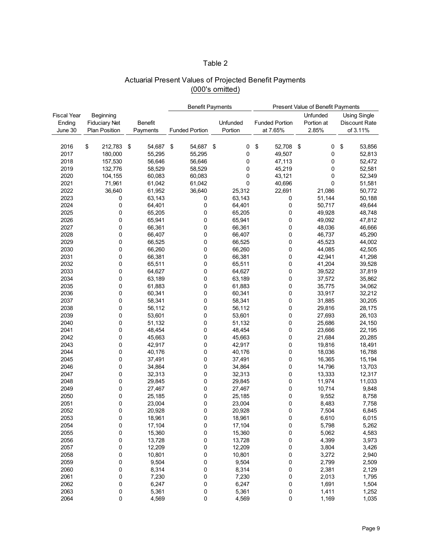### Table 2

#### Actuarial Present Values of Projected Benefit Payments (000's omitted)

|             |                      |                | <b>Benefit Payments</b> |                       |    |          | Present Value of Benefit Payments |                       |    |            |    |                      |
|-------------|----------------------|----------------|-------------------------|-----------------------|----|----------|-----------------------------------|-----------------------|----|------------|----|----------------------|
| Fiscal Year | Beginning            |                |                         |                       |    |          |                                   |                       |    | Unfunded   |    | <b>Using Single</b>  |
| Ending      | <b>Fiduciary Net</b> | <b>Benefit</b> |                         |                       |    | Unfunded |                                   | <b>Funded Portion</b> |    | Portion at |    | <b>Discount Rate</b> |
| June 30     | <b>Plan Position</b> | Payments       |                         | <b>Funded Portion</b> |    | Portion  |                                   | at 7.65%              |    | 2.85%      |    | of 3.11%             |
|             |                      |                |                         |                       |    |          |                                   |                       |    |            |    |                      |
|             |                      |                |                         |                       |    |          |                                   |                       |    |            |    |                      |
| 2016        | \$<br>212,783        | \$<br>54,687   | \$                      | 54,687                | \$ | 0        | $\boldsymbol{\$}$                 | 52,708                | \$ | 0          | \$ | 53,856               |
| 2017        | 180,000              | 55,295         |                         | 55,295                |    | 0        |                                   | 49,507                |    | 0          |    | 52,813               |
| 2018        | 157,530              | 56,646         |                         | 56,646                |    | 0        |                                   | 47,113                |    | 0          |    | 52,472               |
| 2019        | 132,776              | 58,529         |                         | 58,529                |    | 0        |                                   | 45,219                |    | 0          |    | 52,581               |
| 2020        | 104,155              | 60,083         |                         | 60,083                |    | 0        |                                   | 43,121                |    | 0          |    | 52,349               |
| 2021        | 71,961               | 61,042         |                         | 61,042                |    | 0        |                                   | 40,696                |    | 0          |    | 51,581               |
| 2022        | 36,640               | 61,952         |                         | 36,640                |    | 25,312   |                                   | 22,691                |    | 21,086     |    | 50,772               |
| 2023        | 0                    | 63,143         |                         | 0                     |    | 63,143   |                                   | 0                     |    | 51,144     |    | 50,188               |
| 2024        | 0                    | 64,401         |                         | 0                     |    | 64,401   |                                   | 0                     |    | 50,717     |    | 49,644               |
| 2025        | 0                    | 65,205         |                         | 0                     |    | 65,205   |                                   | 0                     |    | 49,928     |    | 48,748               |
| 2026        | 0                    | 65,941         |                         | 0                     |    | 65,941   |                                   | 0                     |    | 49,092     |    | 47,812               |
| 2027        | 0                    | 66,361         |                         | 0                     |    | 66,361   |                                   | 0                     |    | 48,036     |    | 46,666               |
| 2028        | 0                    | 66,407         |                         | 0                     |    | 66,407   |                                   | 0                     |    | 46,737     |    | 45,290               |
| 2029        | 0                    | 66,525         |                         | 0                     |    | 66,525   |                                   | 0                     |    | 45,523     |    | 44,002               |
| 2030        | 0                    | 66,260         |                         | 0                     |    | 66,260   |                                   | 0                     |    | 44,085     |    | 42,505               |
| 2031        | 0                    | 66,381         |                         | 0                     |    | 66,381   |                                   | 0                     |    | 42,941     |    | 41,298               |
| 2032        | 0                    | 65,511         |                         | 0                     |    | 65,511   |                                   | 0                     |    | 41,204     |    | 39,528               |
| 2033        | 0                    | 64,627         |                         | 0                     |    | 64,627   |                                   | 0                     |    | 39,522     |    | 37,819               |
| 2034        | 0                    | 63,189         |                         | 0                     |    | 63,189   |                                   | 0                     |    | 37,572     |    | 35,862               |
| 2035        | 0                    | 61,883         |                         | 0                     |    | 61,883   |                                   | 0                     |    | 35,775     |    |                      |
| 2036        |                      |                |                         |                       |    |          |                                   |                       |    |            |    | 34,062               |
|             | 0                    | 60,341         |                         | 0                     |    | 60,341   |                                   | 0                     |    | 33,917     |    | 32,212               |
| 2037        | 0                    | 58,341         |                         | 0                     |    | 58,341   |                                   | 0                     |    | 31,885     |    | 30,205               |
| 2038        | 0                    | 56,112         |                         | 0                     |    | 56,112   |                                   | 0                     |    | 29,816     |    | 28,175               |
| 2039        | 0                    | 53,601         |                         | 0                     |    | 53,601   |                                   | 0                     |    | 27,693     |    | 26,103               |
| 2040        | 0                    | 51,132         |                         | 0                     |    | 51,132   |                                   | 0                     |    | 25,686     |    | 24,150               |
| 2041        | 0                    | 48,454         |                         | 0                     |    | 48,454   |                                   | 0                     |    | 23,666     |    | 22,195               |
| 2042        | 0                    | 45,663         |                         | 0                     |    | 45,663   |                                   | 0                     |    | 21,684     |    | 20,285               |
| 2043        | 0                    | 42,917         |                         | 0                     |    | 42,917   |                                   | 0                     |    | 19,816     |    | 18,491               |
| 2044        | 0                    | 40,176         |                         | 0                     |    | 40,176   |                                   | 0                     |    | 18,036     |    | 16,788               |
| 2045        | 0                    | 37,491         |                         | 0                     |    | 37,491   |                                   | 0                     |    | 16,365     |    | 15,194               |
| 2046        | 0                    | 34,864         |                         | 0                     |    | 34,864   |                                   | 0                     |    | 14,796     |    | 13,703               |
| 2047        | 0                    | 32,313         |                         | 0                     |    | 32,313   |                                   | 0                     |    | 13,333     |    | 12,317               |
| 2048        | 0                    | 29,845         |                         | 0                     |    | 29,845   |                                   | 0                     |    | 11,974     |    | 11,033               |
| 2049        | 0                    | 27,467         |                         | 0                     |    | 27,467   |                                   | 0                     |    | 10,714     |    | 9,848                |
| 2050        | 0                    | 25,185         |                         | 0                     |    | 25,185   |                                   | 0                     |    | 9,552      |    | 8,758                |
| 2051        | 0                    | 23,004         |                         | 0                     |    | 23,004   |                                   | 0                     |    | 8,483      |    | 7,758                |
| 2052        | 0                    | 20,928         |                         | 0                     |    | 20,928   |                                   | 0                     |    | 7,504      |    | 6,845                |
| 2053        | 0                    | 18,961         |                         | 0                     |    | 18,961   |                                   | 0                     |    | 6,610      |    | 6,015                |
| 2054        | 0                    | 17,104         |                         | 0                     |    | 17,104   |                                   | 0                     |    | 5,798      |    | 5,262                |
| 2055        | 0                    | 15,360         |                         | 0                     |    | 15,360   |                                   | 0                     |    | 5,062      |    | 4,583                |
| 2056        | 0                    | 13,728         |                         | 0                     |    | 13,728   |                                   | 0                     |    | 4,399      |    | 3,973                |
| 2057        | 0                    | 12,209         |                         | 0                     |    | 12,209   |                                   | 0                     |    | 3,804      |    | 3,426                |
| 2058        | 0                    | 10,801         |                         | 0                     |    | 10,801   |                                   | 0                     |    | 3,272      |    | 2,940                |
| 2059        | 0                    | 9,504          |                         | 0                     |    | 9,504    |                                   | 0                     |    | 2,799      |    | 2,509                |
| 2060        | 0                    | 8,314          |                         | 0                     |    | 8,314    |                                   | 0                     |    | 2,381      |    | 2,129                |
| 2061        | 0                    | 7,230          |                         | 0                     |    | 7,230    |                                   | 0                     |    | 2,013      |    | 1,795                |
| 2062        | 0                    | 6,247          |                         | 0                     |    | 6,247    |                                   | 0                     |    | 1,691      |    | 1,504                |
| 2063        | 0                    | 5,361          |                         | 0                     |    | 5,361    |                                   | 0                     |    | 1,411      |    | 1,252                |
| 2064        | 0                    | 4,569          |                         | 0                     |    | 4,569    |                                   | 0                     |    | 1,169      |    | 1,035                |
|             |                      |                |                         |                       |    |          |                                   |                       |    |            |    |                      |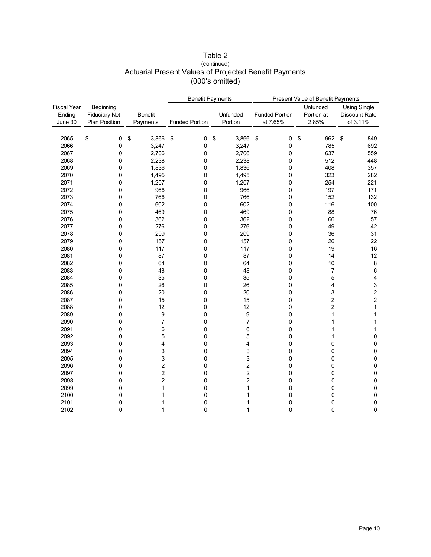|                                         |                                                           |                            | <b>Benefit Payments</b> |                         | Present Value of Benefit Payments |                                       |                                                  |
|-----------------------------------------|-----------------------------------------------------------|----------------------------|-------------------------|-------------------------|-----------------------------------|---------------------------------------|--------------------------------------------------|
| <b>Fiscal Year</b><br>Ending<br>June 30 | Beginning<br><b>Fiduciary Net</b><br><b>Plan Position</b> | <b>Benefit</b><br>Payments | <b>Funded Portion</b>   | Unfunded<br>Portion     | <b>Funded Portion</b><br>at 7.65% | Unfunded<br>Portion at<br>2.85%       | <b>Using Single</b><br>Discount Rate<br>of 3.11% |
|                                         |                                                           |                            |                         |                         |                                   |                                       |                                                  |
| 2065<br>2066                            | \$<br>0<br>0                                              | \$<br>3,866<br>3,247       | $\sqrt{2}$<br>0<br>0    | \$<br>3,866<br>3,247    | $\sqrt{2}$<br>0<br>0              | $\sqrt[6]{\frac{1}{2}}$<br>962<br>785 | \$<br>849<br>692                                 |
| 2067                                    | $\mathbf 0$                                               | 2,706                      | $\mathbf 0$             | 2,706                   | 0                                 | 637                                   | 559                                              |
| 2068                                    | 0                                                         | 2,238                      | 0                       | 2,238                   | 0                                 | 512                                   | 448                                              |
| 2069                                    | 0                                                         | 1,836                      | 0                       | 1,836                   | 0                                 | 408                                   | 357                                              |
| 2070                                    | 0                                                         | 1,495                      | 0                       | 1,495                   | 0                                 | 323                                   | 282                                              |
| 2071                                    | $\mathbf 0$                                               | 1,207                      | 0                       | 1,207                   | 0                                 | 254                                   | 221                                              |
| 2072                                    | 0                                                         | 966                        | 0                       | 966                     | 0                                 | 197                                   | 171                                              |
| 2073                                    | 0                                                         | 766                        | 0                       | 766                     | 0                                 | 152                                   | 132                                              |
| 2074                                    | 0                                                         | 602                        | 0                       | 602                     | 0                                 | 116                                   | 100                                              |
| 2075                                    | 0                                                         | 469                        | 0                       | 469                     | 0                                 | 88                                    | 76                                               |
| 2076                                    | 0                                                         | 362                        | 0                       | 362                     | 0                                 | 66                                    | 57                                               |
| 2077                                    | 0                                                         | 276                        | 0                       | 276                     | 0                                 | 49                                    | 42                                               |
| 2078                                    | $\mathbf 0$                                               | 209                        | 0                       | 209                     | 0                                 | 36                                    | 31                                               |
| 2079                                    | 0                                                         | 157                        | 0                       | 157                     | 0                                 | 26                                    | 22                                               |
| 2080                                    | 0                                                         | 117                        | 0                       | 117                     | 0                                 | 19                                    | 16                                               |
| 2081                                    | 0                                                         | 87                         | 0                       | 87                      | 0                                 | 14                                    | 12                                               |
| 2082                                    | 0                                                         | 64                         | 0                       | 64                      | 0                                 | 10                                    | 8                                                |
| 2083                                    | 0                                                         | 48                         | 0                       | 48                      | 0                                 | $\overline{7}$                        | 6                                                |
| 2084                                    | 0                                                         | 35                         | 0                       | 35                      | 0                                 | 5                                     | $\overline{\mathbf{4}}$                          |
| 2085                                    | 0                                                         | 26                         | 0                       | 26                      | 0                                 | 4                                     | 3                                                |
| 2086                                    | 0                                                         | 20                         | 0                       | 20                      | 0                                 | 3                                     | $\overline{\mathbf{c}}$                          |
| 2087                                    | 0                                                         | 15                         | $\mathbf 0$             | 15                      | 0                                 | $\overline{\mathbf{c}}$               | $\overline{\mathbf{c}}$                          |
| 2088                                    | 0                                                         | 12                         | 0                       | 12                      | 0                                 | $\overline{c}$                        | $\mathbf{1}$                                     |
| 2089                                    | 0                                                         | 9                          | 0                       | 9                       | 0                                 | 1                                     | 1                                                |
| 2090                                    | 0                                                         | 7                          | 0                       | $\overline{7}$          | 0                                 | 1                                     | 1                                                |
| 2091                                    | $\mathbf 0$                                               | 6                          | 0                       | 6                       | 0                                 | 1                                     | 1                                                |
| 2092                                    | 0                                                         | 5                          | 0                       | 5                       | 0                                 | 1                                     | $\pmb{0}$                                        |
| 2093                                    | 0                                                         | 4                          | 0                       | 4                       | 0                                 | 0                                     | 0                                                |
| 2094                                    | 0                                                         | 3                          | 0                       | 3                       | 0                                 | 0                                     | $\pmb{0}$                                        |
| 2095                                    | $\mathbf 0$                                               | 3                          | 0                       | 3                       | 0                                 | 0                                     | $\pmb{0}$                                        |
| 2096                                    | 0                                                         | $\overline{c}$             | 0                       | $\overline{\mathbf{c}}$ | 0                                 | 0                                     | $\pmb{0}$                                        |
| 2097                                    | 0                                                         | $\overline{\mathbf{c}}$    | 0                       | $\boldsymbol{2}$        | 0                                 | 0                                     | 0                                                |
| 2098                                    | 0                                                         | $\overline{c}$             | 0                       | $\overline{c}$          | 0                                 | 0                                     | 0                                                |
| 2099                                    | 0                                                         | 1                          | 0                       | 1                       | 0                                 | 0                                     | $\mathbf 0$                                      |
| 2100                                    | 0                                                         | 1                          | 0                       | 1                       | 0                                 | 0                                     | $\pmb{0}$                                        |
| 2101                                    | $\mathbf 0$                                               | 1                          | 0                       | 1                       | 0                                 | 0                                     | 0                                                |

2102 0 1 0 1 0 0 0

#### Table 2 Actuarial Present Values of Projected Benefit Payments (000's omitted) (continued)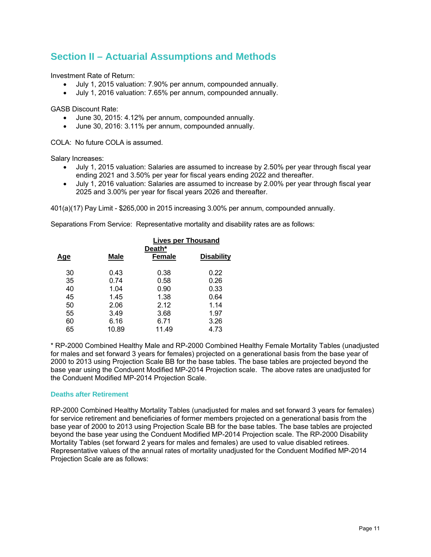## **Section II – Actuarial Assumptions and Methods**

Investment Rate of Return:

- July 1, 2015 valuation: 7.90% per annum, compounded annually.
- July 1, 2016 valuation: 7.65% per annum, compounded annually.

GASB Discount Rate:

- June 30, 2015: 4.12% per annum, compounded annually.
- June 30, 2016: 3.11% per annum, compounded annually.

COLA: No future COLA is assumed.

Salary Increases:

- July 1, 2015 valuation: Salaries are assumed to increase by 2.50% per year through fiscal year ending 2021 and 3.50% per year for fiscal years ending 2022 and thereafter.
- July 1, 2016 valuation: Salaries are assumed to increase by 2.00% per year through fiscal year 2025 and 3.00% per year for fiscal years 2026 and thereafter.

401(a)(17) Pay Limit - \$265,000 in 2015 increasing 3.00% per annum, compounded annually.

Separations From Service: Representative mortality and disability rates are as follows:

|       | <b>Lives per Thousand</b> |                   |
|-------|---------------------------|-------------------|
| Male  | Death*<br><b>Female</b>   | <b>Disability</b> |
|       |                           |                   |
| 0.43  | 0.38                      | 0.22              |
| 0.74  | 0.58                      | 0.26              |
| 1.04  | 0.90                      | 0.33              |
| 1.45  | 1.38                      | 0.64              |
| 2.06  | 2.12                      | 1.14              |
| 3.49  | 3.68                      | 1.97              |
| 6.16  | 6.71                      | 3.26              |
| 10.89 | 11.49                     | 4.73              |
|       |                           |                   |

\* RP-2000 Combined Healthy Male and RP-2000 Combined Healthy Female Mortality Tables (unadjusted for males and set forward 3 years for females) projected on a generational basis from the base year of 2000 to 2013 using Projection Scale BB for the base tables. The base tables are projected beyond the base year using the Conduent Modified MP-2014 Projection scale. The above rates are unadjusted for the Conduent Modified MP-2014 Projection Scale.

#### **Deaths after Retirement**

RP-2000 Combined Healthy Mortality Tables (unadjusted for males and set forward 3 years for females) for service retirement and beneficiaries of former members projected on a generational basis from the base year of 2000 to 2013 using Projection Scale BB for the base tables. The base tables are projected beyond the base year using the Conduent Modified MP-2014 Projection scale. The RP-2000 Disability Mortality Tables (set forward 2 years for males and females) are used to value disabled retirees. Representative values of the annual rates of mortality unadjusted for the Conduent Modified MP-2014 Projection Scale are as follows: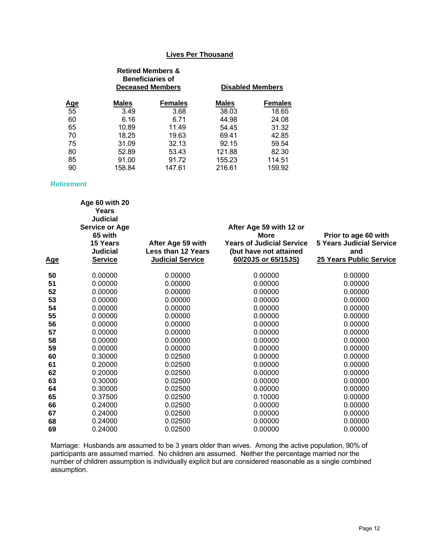#### **Lives Per Thousand**

|            |        | <b>Retired Members &amp;</b><br><b>Beneficiaries of</b><br><b>Deceased Members</b> | <b>Disabled Members</b> |                |  |
|------------|--------|------------------------------------------------------------------------------------|-------------------------|----------------|--|
| <u>Age</u> | Males  | <b>Females</b>                                                                     | <b>Males</b>            | <b>Females</b> |  |
| 55         | 3.49   | 3.68                                                                               | 38.03                   | 18.65          |  |
| 60         | 6.16   | 6.71                                                                               | 44.98                   | 24.08          |  |
| 65         | 10.89  | 11.49                                                                              | 54.45                   | 31.32          |  |
| 70         | 18.25  | 19.63                                                                              | 69.41                   | 42.85          |  |
| 75         | 31.09  | 32.13                                                                              | 92.15                   | 59.54          |  |
| 80         | 52.89  | 53.43                                                                              | 121.88                  | 82.30          |  |
| 85         | 91.00  | 91.72                                                                              | 155.23                  | 114.51         |  |
| 90         | 158.84 | 147.61                                                                             | 216.61                  | 159.92         |  |

#### **Retirement**

| <u>Age</u> | Age 60 with 20<br>Years<br><b>Judicial</b><br><b>Service or Age</b><br>65 with<br>15 Years<br><b>Judicial</b><br><b>Service</b> | After Age 59 with<br>Less than 12 Years<br><b>Judicial Service</b> | After Age 59 with 12 or<br>More<br><b>Years of Judicial Service</b><br>(but have not attained<br>60/20JS or 65/15JS) | Prior to age 60 with<br><b>5 Years Judicial Service</b><br>and<br>25 Years Public Service |
|------------|---------------------------------------------------------------------------------------------------------------------------------|--------------------------------------------------------------------|----------------------------------------------------------------------------------------------------------------------|-------------------------------------------------------------------------------------------|
| 50         | 0.00000                                                                                                                         | 0.00000                                                            | 0.00000                                                                                                              | 0.00000                                                                                   |
| 51         | 0.00000                                                                                                                         | 0.00000                                                            | 0.00000                                                                                                              | 0.00000                                                                                   |
| 52         | 0.00000                                                                                                                         | 0.00000                                                            | 0.00000                                                                                                              | 0.00000                                                                                   |
| 53         | 0.00000                                                                                                                         | 0.00000                                                            | 0.00000                                                                                                              | 0.00000                                                                                   |
| 54         | 0.00000                                                                                                                         | 0.00000                                                            | 0.00000                                                                                                              | 0.00000                                                                                   |
| 55         | 0.00000                                                                                                                         | 0.00000                                                            | 0.00000                                                                                                              | 0.00000                                                                                   |
| 56         | 0.00000                                                                                                                         | 0.00000                                                            | 0.00000                                                                                                              | 0.00000                                                                                   |
| 57         | 0.00000                                                                                                                         | 0.00000                                                            | 0.00000                                                                                                              | 0.00000                                                                                   |
| 58         | 0.00000                                                                                                                         | 0.00000                                                            | 0.00000                                                                                                              | 0.00000                                                                                   |
| 59         | 0.00000                                                                                                                         | 0.00000                                                            | 0.00000                                                                                                              | 0.00000                                                                                   |
| 60         | 0.30000                                                                                                                         | 0.02500                                                            | 0.00000                                                                                                              | 0.00000                                                                                   |
| 61         | 0.20000                                                                                                                         | 0.02500                                                            | 0.00000                                                                                                              | 0.00000                                                                                   |
| 62         | 0.20000                                                                                                                         | 0.02500                                                            | 0.00000                                                                                                              | 0.00000                                                                                   |
| 63         | 0.30000                                                                                                                         | 0.02500                                                            | 0.00000                                                                                                              | 0.00000                                                                                   |
| 64         | 0.30000                                                                                                                         | 0.02500                                                            | 0.00000                                                                                                              | 0.00000                                                                                   |
| 65         | 0.37500                                                                                                                         | 0.02500                                                            | 0.10000                                                                                                              | 0.00000                                                                                   |
| 66         | 0.24000                                                                                                                         | 0.02500                                                            | 0.00000                                                                                                              | 0.00000                                                                                   |
| 67         | 0.24000                                                                                                                         | 0.02500                                                            | 0.00000                                                                                                              | 0.00000                                                                                   |
| 68         | 0.24000                                                                                                                         | 0.02500                                                            | 0.00000                                                                                                              | 0.00000                                                                                   |
| 69         | 0.24000                                                                                                                         | 0.02500                                                            | 0.00000                                                                                                              | 0.00000                                                                                   |

Marriage: Husbands are assumed to be 3 years older than wives. Among the active population, 90% of participants are assumed married. No children are assumed. Neither the percentage married nor the number of children assumption is individually explicit but are considered reasonable as a single combined assumption.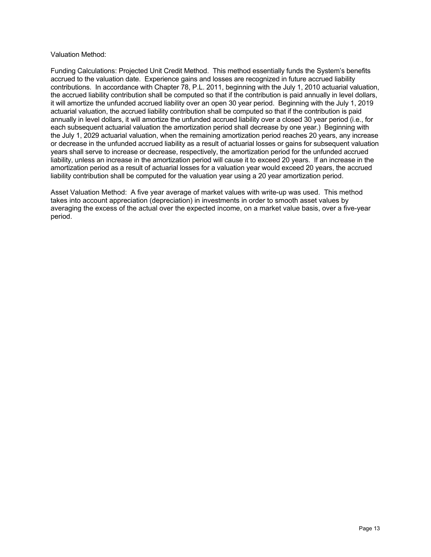#### Valuation Method:

Funding Calculations: Projected Unit Credit Method. This method essentially funds the System's benefits accrued to the valuation date. Experience gains and losses are recognized in future accrued liability contributions. In accordance with Chapter 78, P.L. 2011, beginning with the July 1, 2010 actuarial valuation, the accrued liability contribution shall be computed so that if the contribution is paid annually in level dollars, it will amortize the unfunded accrued liability over an open 30 year period. Beginning with the July 1, 2019 actuarial valuation, the accrued liability contribution shall be computed so that if the contribution is paid annually in level dollars, it will amortize the unfunded accrued liability over a closed 30 year period (i.e., for each subsequent actuarial valuation the amortization period shall decrease by one year.) Beginning with the July 1, 2029 actuarial valuation, when the remaining amortization period reaches 20 years, any increase or decrease in the unfunded accrued liability as a result of actuarial losses or gains for subsequent valuation years shall serve to increase or decrease, respectively, the amortization period for the unfunded accrued liability, unless an increase in the amortization period will cause it to exceed 20 years. If an increase in the amortization period as a result of actuarial losses for a valuation year would exceed 20 years, the accrued liability contribution shall be computed for the valuation year using a 20 year amortization period.

Asset Valuation Method: A five year average of market values with write-up was used. This method takes into account appreciation (depreciation) in investments in order to smooth asset values by averaging the excess of the actual over the expected income, on a market value basis, over a five-year period.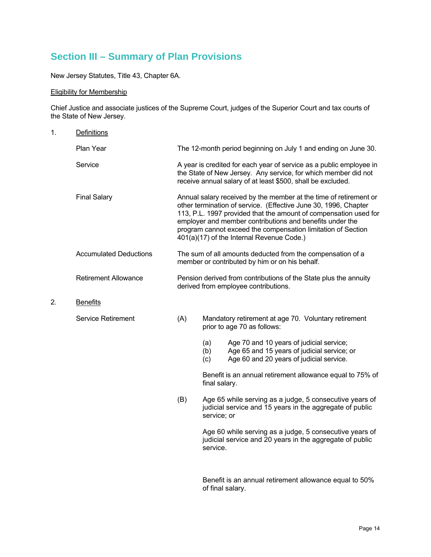## **Section III – Summary of Plan Provisions**

New Jersey Statutes, Title 43, Chapter 6A.

#### Eligibility for Membership

Chief Justice and associate justices of the Supreme Court, judges of the Superior Court and tax courts of the State of New Jersey.

| 1.                  | <b>Definitions</b>            |                                                                                                                                                                                                                          |                                                                                                                                                                                                                                                                                                                                                                                   |                                                                                                                                     |  |  |
|---------------------|-------------------------------|--------------------------------------------------------------------------------------------------------------------------------------------------------------------------------------------------------------------------|-----------------------------------------------------------------------------------------------------------------------------------------------------------------------------------------------------------------------------------------------------------------------------------------------------------------------------------------------------------------------------------|-------------------------------------------------------------------------------------------------------------------------------------|--|--|
| Plan Year           |                               |                                                                                                                                                                                                                          | The 12-month period beginning on July 1 and ending on June 30.                                                                                                                                                                                                                                                                                                                    |                                                                                                                                     |  |  |
|                     | Service                       | A year is credited for each year of service as a public employee in<br>the State of New Jersey. Any service, for which member did not<br>receive annual salary of at least \$500, shall be excluded.                     |                                                                                                                                                                                                                                                                                                                                                                                   |                                                                                                                                     |  |  |
| <b>Final Salary</b> |                               |                                                                                                                                                                                                                          | Annual salary received by the member at the time of retirement or<br>other termination of service. (Effective June 30, 1996, Chapter<br>113, P.L. 1997 provided that the amount of compensation used for<br>employer and member contributions and benefits under the<br>program cannot exceed the compensation limitation of Section<br>401(a)(17) of the Internal Revenue Code.) |                                                                                                                                     |  |  |
|                     | <b>Accumulated Deductions</b> | The sum of all amounts deducted from the compensation of a<br>member or contributed by him or on his behalf.<br>Pension derived from contributions of the State plus the annuity<br>derived from employee contributions. |                                                                                                                                                                                                                                                                                                                                                                                   |                                                                                                                                     |  |  |
|                     | <b>Retirement Allowance</b>   |                                                                                                                                                                                                                          |                                                                                                                                                                                                                                                                                                                                                                                   |                                                                                                                                     |  |  |
| 2.                  | <b>Benefits</b>               |                                                                                                                                                                                                                          |                                                                                                                                                                                                                                                                                                                                                                                   |                                                                                                                                     |  |  |
|                     | <b>Service Retirement</b>     | (A)                                                                                                                                                                                                                      |                                                                                                                                                                                                                                                                                                                                                                                   | Mandatory retirement at age 70. Voluntary retirement<br>prior to age 70 as follows:                                                 |  |  |
|                     |                               |                                                                                                                                                                                                                          | (a)<br>(b)<br>(c)                                                                                                                                                                                                                                                                                                                                                                 | Age 70 and 10 years of judicial service;<br>Age 65 and 15 years of judicial service; or<br>Age 60 and 20 years of judicial service. |  |  |
|                     |                               |                                                                                                                                                                                                                          | Benefit is an annual retirement allowance equal to 75% of<br>final salary.                                                                                                                                                                                                                                                                                                        |                                                                                                                                     |  |  |
|                     |                               | (B)                                                                                                                                                                                                                      | service; or                                                                                                                                                                                                                                                                                                                                                                       | Age 65 while serving as a judge, 5 consecutive years of<br>judicial service and 15 years in the aggregate of public                 |  |  |
|                     |                               |                                                                                                                                                                                                                          | service.                                                                                                                                                                                                                                                                                                                                                                          | Age 60 while serving as a judge, 5 consecutive years of<br>judicial service and 20 years in the aggregate of public                 |  |  |
|                     |                               |                                                                                                                                                                                                                          |                                                                                                                                                                                                                                                                                                                                                                                   | Benefit is an annual retirement allowance equal to 50%<br>of final salary.                                                          |  |  |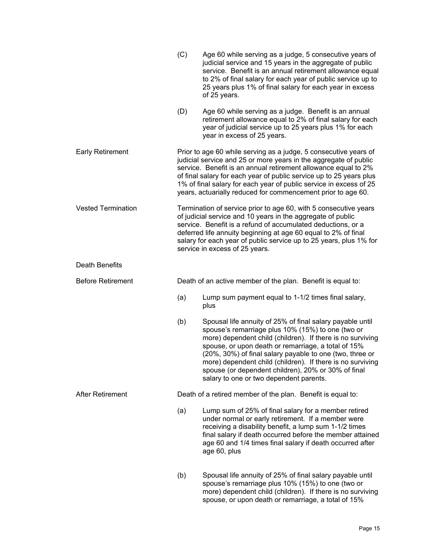|                           | (C)                                                         | Age 60 while serving as a judge, 5 consecutive years of<br>judicial service and 15 years in the aggregate of public<br>service. Benefit is an annual retirement allowance equal<br>to 2% of final salary for each year of public service up to<br>25 years plus 1% of final salary for each year in excess<br>of 25 years.                                                                                                                                      |
|---------------------------|-------------------------------------------------------------|-----------------------------------------------------------------------------------------------------------------------------------------------------------------------------------------------------------------------------------------------------------------------------------------------------------------------------------------------------------------------------------------------------------------------------------------------------------------|
|                           | (D)                                                         | Age 60 while serving as a judge. Benefit is an annual<br>retirement allowance equal to 2% of final salary for each<br>year of judicial service up to 25 years plus 1% for each<br>year in excess of 25 years.                                                                                                                                                                                                                                                   |
| <b>Early Retirement</b>   |                                                             | Prior to age 60 while serving as a judge, 5 consecutive years of<br>judicial service and 25 or more years in the aggregate of public<br>service. Benefit is an annual retirement allowance equal to 2%<br>of final salary for each year of public service up to 25 years plus<br>1% of final salary for each year of public service in excess of 25<br>years, actuarially reduced for commencement prior to age 60.                                             |
| <b>Vested Termination</b> |                                                             | Termination of service prior to age 60, with 5 consecutive years<br>of judicial service and 10 years in the aggregate of public<br>service. Benefit is a refund of accumulated deductions, or a<br>deferred life annuity beginning at age 60 equal to 2% of final<br>salary for each year of public service up to 25 years, plus 1% for<br>service in excess of 25 years.                                                                                       |
| <b>Death Benefits</b>     |                                                             |                                                                                                                                                                                                                                                                                                                                                                                                                                                                 |
| <b>Before Retirement</b>  |                                                             | Death of an active member of the plan. Benefit is equal to:                                                                                                                                                                                                                                                                                                                                                                                                     |
|                           | (a)                                                         | Lump sum payment equal to 1-1/2 times final salary,<br>plus                                                                                                                                                                                                                                                                                                                                                                                                     |
|                           | (b)                                                         | Spousal life annuity of 25% of final salary payable until<br>spouse's remarriage plus 10% (15%) to one (two or<br>more) dependent child (children). If there is no surviving<br>spouse, or upon death or remarriage, a total of 15%<br>(20%, 30%) of final salary payable to one (two, three or<br>more) dependent child (children). If there is no surviving<br>spouse (or dependent children), 20% or 30% of final<br>salary to one or two dependent parents. |
| <b>After Retirement</b>   | Death of a retired member of the plan. Benefit is equal to: |                                                                                                                                                                                                                                                                                                                                                                                                                                                                 |
|                           | (a)                                                         | Lump sum of 25% of final salary for a member retired<br>under normal or early retirement. If a member were<br>receiving a disability benefit, a lump sum 1-1/2 times<br>final salary if death occurred before the member attained<br>age 60 and 1/4 times final salary if death occurred after<br>age 60, plus                                                                                                                                                  |
|                           | (b)                                                         | Spousal life annuity of 25% of final salary payable until<br>spouse's remarriage plus 10% (15%) to one (two or<br>more) dependent child (children). If there is no surviving                                                                                                                                                                                                                                                                                    |

spouse, or upon death or remarriage, a total of 15%